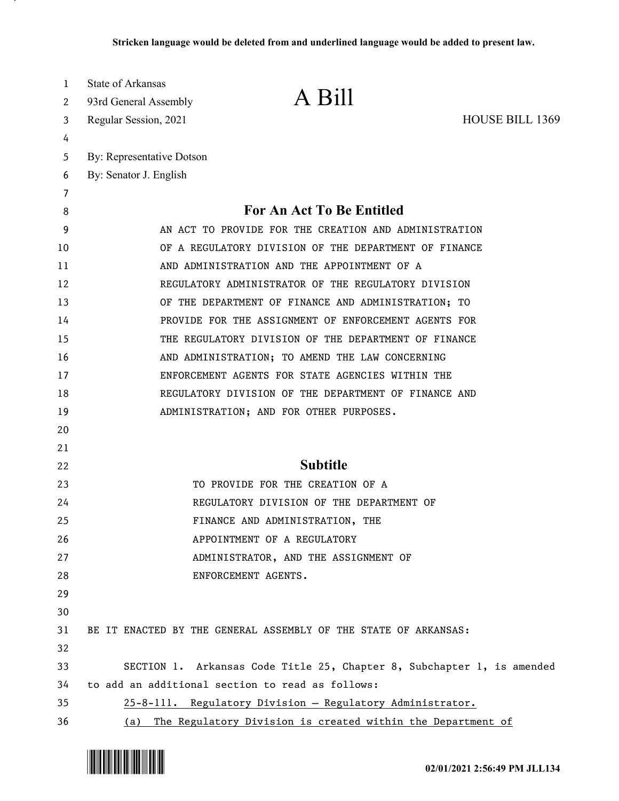| 1      | State of Arkansas         |                                                                        |                        |
|--------|---------------------------|------------------------------------------------------------------------|------------------------|
| 2      | 93rd General Assembly     | A Bill                                                                 |                        |
| 3      | Regular Session, 2021     |                                                                        | <b>HOUSE BILL 1369</b> |
| 4      |                           |                                                                        |                        |
| 5      | By: Representative Dotson |                                                                        |                        |
| 6      | By: Senator J. English    |                                                                        |                        |
| 7<br>8 |                           | For An Act To Be Entitled                                              |                        |
| 9      |                           | AN ACT TO PROVIDE FOR THE CREATION AND ADMINISTRATION                  |                        |
| 10     |                           | OF A REGULATORY DIVISION OF THE DEPARTMENT OF FINANCE                  |                        |
| 11     |                           | AND ADMINISTRATION AND THE APPOINTMENT OF A                            |                        |
| 12     |                           | REGULATORY ADMINISTRATOR OF THE REGULATORY DIVISION                    |                        |
| 13     |                           | OF THE DEPARTMENT OF FINANCE AND ADMINISTRATION; TO                    |                        |
| 14     |                           | PROVIDE FOR THE ASSIGNMENT OF ENFORCEMENT AGENTS FOR                   |                        |
| 15     |                           | THE REGULATORY DIVISION OF THE DEPARTMENT OF FINANCE                   |                        |
| 16     |                           | AND ADMINISTRATION; TO AMEND THE LAW CONCERNING                        |                        |
| 17     |                           | ENFORCEMENT AGENTS FOR STATE AGENCIES WITHIN THE                       |                        |
| 18     |                           | REGULATORY DIVISION OF THE DEPARTMENT OF FINANCE AND                   |                        |
| 19     |                           | ADMINISTRATION; AND FOR OTHER PURPOSES.                                |                        |
| 20     |                           |                                                                        |                        |
| 21     |                           |                                                                        |                        |
| 22     |                           | <b>Subtitle</b>                                                        |                        |
| 23     |                           | TO PROVIDE FOR THE CREATION OF A                                       |                        |
| 24     |                           | REGULATORY DIVISION OF THE DEPARTMENT OF                               |                        |
| 25     |                           | FINANCE AND ADMINISTRATION, THE                                        |                        |
| 26     |                           | APPOINTMENT OF A REGULATORY                                            |                        |
| 27     |                           | ADMINISTRATOR, AND THE ASSIGNMENT OF                                   |                        |
| 28     |                           | ENFORCEMENT AGENTS.                                                    |                        |
| 29     |                           |                                                                        |                        |
| 30     |                           |                                                                        |                        |
| 31     |                           | BE IT ENACTED BY THE GENERAL ASSEMBLY OF THE STATE OF ARKANSAS:        |                        |
| 32     |                           |                                                                        |                        |
| 33     |                           | SECTION 1. Arkansas Code Title 25, Chapter 8, Subchapter 1, is amended |                        |
| 34     |                           | to add an additional section to read as follows:                       |                        |
| 35     |                           | 25-8-111. Regulatory Division - Regulatory Administrator.              |                        |
| 36     | (a)                       | The Regulatory Division is created within the Department of            |                        |

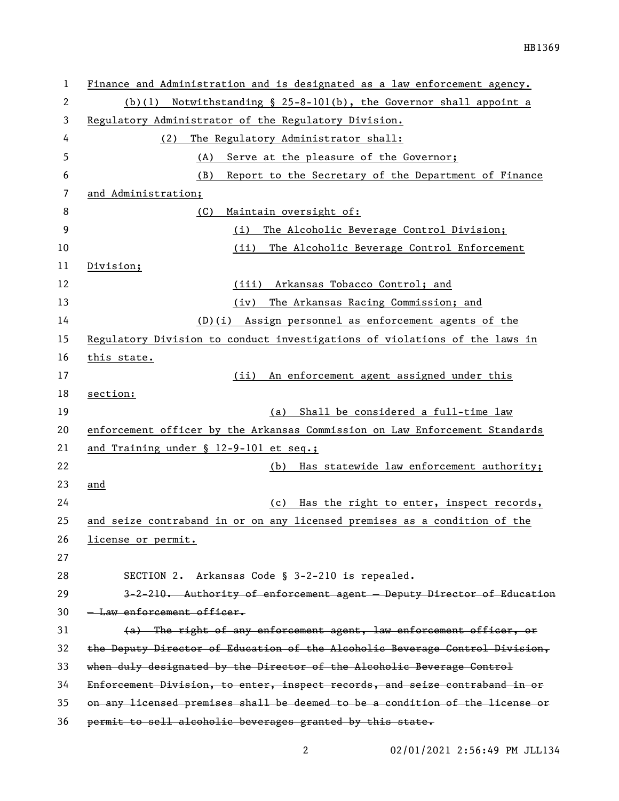| 1  | Finance and Administration and is designated as a law enforcement agency.    |  |  |
|----|------------------------------------------------------------------------------|--|--|
| 2  | Notwithstanding § 25-8-101(b), the Governor shall appoint a<br>(b)(1)        |  |  |
| 3  | Regulatory Administrator of the Regulatory Division.                         |  |  |
| 4  | The Regulatory Administrator shall:<br>(2)                                   |  |  |
| 5  | (A)<br>Serve at the pleasure of the Governor;                                |  |  |
| 6  | (B)<br>Report to the Secretary of the Department of Finance                  |  |  |
| 7  | and Administration;                                                          |  |  |
| 8  | (C)<br>Maintain oversight of:                                                |  |  |
| 9  | (i)<br>The Alcoholic Beverage Control Division;                              |  |  |
| 10 | (ii)<br>The Alcoholic Beverage Control Enforcement                           |  |  |
| 11 | Division;                                                                    |  |  |
| 12 | Arkansas Tobacco Control; and<br>(iii)                                       |  |  |
| 13 | The Arkansas Racing Commission; and<br>(iv)                                  |  |  |
| 14 | (D)(i) Assign personnel as enforcement agents of the                         |  |  |
| 15 | Regulatory Division to conduct investigations of violations of the laws in   |  |  |
| 16 | this state.                                                                  |  |  |
| 17 | An enforcement agent assigned under this<br>(ii)                             |  |  |
| 18 | section:                                                                     |  |  |
| 19 | Shall be considered a full-time law<br>(a)                                   |  |  |
| 20 | enforcement officer by the Arkansas Commission on Law Enforcement Standards  |  |  |
| 21 | and Training under § 12-9-101 et seq.;                                       |  |  |
| 22 | Has statewide law enforcement authority;<br>(b)                              |  |  |
| 23 | and                                                                          |  |  |
| 24 | Has the right to enter, inspect records,<br>(c)                              |  |  |
| 25 | and seize contraband in or on any licensed premises as a condition of the    |  |  |
| 26 | license or permit.                                                           |  |  |
| 27 |                                                                              |  |  |
| 28 | SECTION 2. Arkansas Code § 3-2-210 is repealed.                              |  |  |
| 29 | 3-2-210. Authority of enforcement agent - Deputy Director of Education       |  |  |
| 30 | - Law enforcement officer.                                                   |  |  |
| 31 | (a) The right of any enforcement agent, law enforcement officer, or          |  |  |
| 32 | the Deputy Director of Education of the Alcoholic Beverage Control Division, |  |  |
| 33 | when duly designated by the Director of the Alcoholic Beverage Control       |  |  |
| 34 | Enforcement Division, to enter, inspect records, and seize contraband in or  |  |  |
| 35 | on any licensed premises shall be deemed to be a condition of the license or |  |  |
| 36 | permit to sell alcoholic beverages granted by this state.                    |  |  |